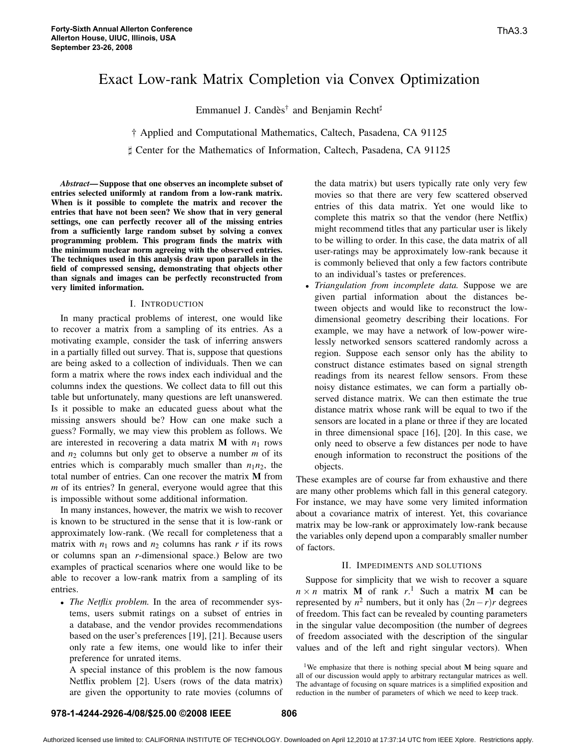# Exact Low-rank Matrix Completion via Convex Optimization

Emmanuel J. Candès<sup>†</sup> and Benjamin Recht<sup>‡</sup>

† Applied and Computational Mathematics, Caltech, Pasadena, CA 91125

- Center for the Mathematics of Information, Caltech, Pasadena, CA 91125

*Abstract*— Suppose that one observes an incomplete subset of entries selected uniformly at random from a low-rank matrix. When is it possible to complete the matrix and recover the entries that have not been seen? We show that in very general settings, one can perfectly recover all of the missing entries from a sufficiently large random subset by solving a convex programming problem. This program finds the matrix with the minimum nuclear norm agreeing with the observed entries. The techniques used in this analysis draw upon parallels in the field of compressed sensing, demonstrating that objects other than signals and images can be perfectly reconstructed from very limited information.

#### I. INTRODUCTION

In many practical problems of interest, one would like to recover a matrix from a sampling of its entries. As a motivating example, consider the task of inferring answers in a partially filled out survey. That is, suppose that questions are being asked to a collection of individuals. Then we can form a matrix where the rows index each individual and the columns index the questions. We collect data to fill out this table but unfortunately, many questions are left unanswered. Is it possible to make an educated guess about what the missing answers should be? How can one make such a guess? Formally, we may view this problem as follows. We are interested in recovering a data matrix  $M$  with  $n_1$  rows and  $n_2$  columns but only get to observe a number  $m$  of its entries which is comparably much smaller than  $n_1n_2$ , the total number of entries. Can one recover the matrix M from *m* of its entries? In general, everyone would agree that this is impossible without some additional information.

In many instances, however, the matrix we wish to recover is known to be structured in the sense that it is low-rank or approximately low-rank. (We recall for completeness that a matrix with  $n_1$  rows and  $n_2$  columns has rank  $r$  if its rows or columns span an *r*-dimensional space.) Below are two examples of practical scenarios where one would like to be able to recover a low-rank matrix from a sampling of its entries.

• *The Netflix problem.* In the area of recommender systems, users submit ratings on a subset of entries in a database, and the vendor provides recommendations based on the user's preferences [19], [21]. Because users only rate a few items, one would like to infer their preference for unrated items.

A special instance of this problem is the now famous Netflix problem [2]. Users (rows of the data matrix) are given the opportunity to rate movies (columns of the data matrix) but users typically rate only very few movies so that there are very few scattered observed entries of this data matrix. Yet one would like to complete this matrix so that the vendor (here Netflix) might recommend titles that any particular user is likely to be willing to order. In this case, the data matrix of all user-ratings may be approximately low-rank because it is commonly believed that only a few factors contribute to an individual's tastes or preferences.

• *Triangulation from incomplete data.* Suppose we are given partial information about the distances between objects and would like to reconstruct the lowdimensional geometry describing their locations. For example, we may have a network of low-power wirelessly networked sensors scattered randomly across a region. Suppose each sensor only has the ability to construct distance estimates based on signal strength readings from its nearest fellow sensors. From these noisy distance estimates, we can form a partially observed distance matrix. We can then estimate the true distance matrix whose rank will be equal to two if the sensors are located in a plane or three if they are located in three dimensional space [16], [20]. In this case, we only need to observe a few distances per node to have enough information to reconstruct the positions of the objects.

These examples are of course far from exhaustive and there are many other problems which fall in this general category. For instance, we may have some very limited information about a covariance matrix of interest. Yet, this covariance matrix may be low-rank or approximately low-rank because the variables only depend upon a comparably smaller number of factors.

#### II. IMPEDIMENTS AND SOLUTIONS

Suppose for simplicity that we wish to recover a square  $n \times n$  matrix **M** of rank  $r$ <sup>1</sup>. Such a matrix **M** can be represented by  $n^2$  numbers, but it only has  $(2n-r)r$  degrees of freedom. This fact can be revealed by counting parameters in the singular value decomposition (the number of degrees of freedom associated with the description of the singular values and of the left and right singular vectors). When

# **978-1-4244-2926-4/08/\$25.00 ©2008 IEEE 806**

<sup>&</sup>lt;sup>1</sup>We emphasize that there is nothing special about M being square and all of our discussion would apply to arbitrary rectangular matrices as well. The advantage of focusing on square matrices is a simplified exposition and reduction in the number of parameters of which we need to keep track.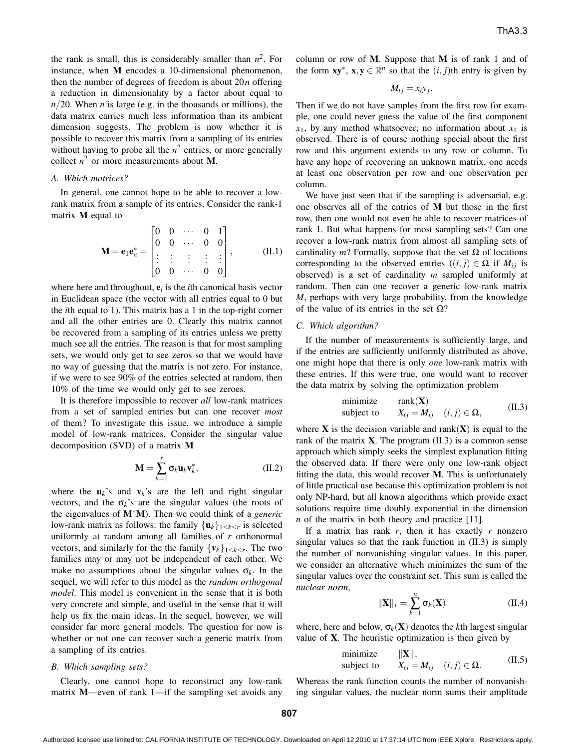the rank is small, this is considerably smaller than  $n^2$ . For instance, when M encodes a 10-dimensional phenomenon, then the number of degrees of freedom is about 20*n* offering a reduction in dimensionality by a factor about equal to  $n/20$ . When *n* is large (e.g. in the thousands or millions), the data matrix carries much less information than its ambient dimension suggests. The problem is now whether it is possible to recover this matrix from a sampling of its entries without having to probe all the  $n^2$  entries, or more generally collect  $n^2$  or more measurements about **M**.

# *A. Which matrices?*

In general, one cannot hope to be able to recover a lowrank matrix from a sample of its entries. Consider the rank-1 matrix M equal to

$$
\mathbf{M} = \mathbf{e}_1 \mathbf{e}_n^* = \begin{bmatrix} 0 & 0 & \cdots & 0 & 1 \\ 0 & 0 & \cdots & 0 & 0 \\ \vdots & \vdots & \vdots & \vdots & \vdots \\ 0 & 0 & \cdots & 0 & 0 \end{bmatrix}, \quad (\text{II}.1)
$$

where here and throughout, e*<sup>i</sup>* is the *i*th canonical basis vector in Euclidean space (the vector with all entries equal to 0 but the *i*th equal to 1). This matrix has a 1 in the top-right corner and all the other entries are 0. Clearly this matrix cannot be recovered from a sampling of its entries unless we pretty much see all the entries. The reason is that for most sampling sets, we would only get to see zeros so that we would have no way of guessing that the matrix is not zero. For instance, if we were to see 90% of the entries selected at random, then 10% of the time we would only get to see zeroes.

It is therefore impossible to recover *all* low-rank matrices from a set of sampled entries but can one recover *most* of them? To investigate this issue, we introduce a simple model of low-rank matrices. Consider the singular value decomposition (SVD) of a matrix M

$$
\mathbf{M} = \sum_{k=1}^{r} \sigma_k \mathbf{u}_k \mathbf{v}_k^*,
$$
 (II.2)

where the  $\mathbf{u}_k$ 's and  $\mathbf{v}_k$ 's are the left and right singular vectors, and the  $\sigma_k$ 's are the singular values (the roots of the eigenvalues of M∗M). Then we could think of a *generic* low-rank matrix as follows: the family  $\{u_k\}_{1 \leq k \leq r}$  is selected uniformly at random among all families of *r* orthonormal vectors, and similarly for the the family  ${v_k}_{1 \leq k \leq r}$ . The two families may or may not be independent of each other. We make no assumptions about the singular values  $\sigma_k$ . In the sequel, we will refer to this model as the *random orthogonal model*. This model is convenient in the sense that it is both very concrete and simple, and useful in the sense that it will help us fix the main ideas. In the sequel, however, we will consider far more general models. The question for now is whether or not one can recover such a generic matrix from a sampling of its entries.

## *B. Which sampling sets?*

Clearly, one cannot hope to reconstruct any low-rank matrix M—even of rank 1—if the sampling set avoids any column or row of M. Suppose that M is of rank 1 and of the form  $xy^*$ ,  $x, y \in \mathbb{R}^n$  so that the  $(i, j)$ th entry is given by

$$
M_{ij}=x_iy_j.
$$

Then if we do not have samples from the first row for example, one could never guess the value of the first component  $x_1$ , by any method whatsoever; no information about  $x_1$  is observed. There is of course nothing special about the first row and this argument extends to any row or column. To have any hope of recovering an unknown matrix, one needs at least one observation per row and one observation per column.

We have just seen that if the sampling is adversarial, e.g. one observes all of the entries of M but those in the first row, then one would not even be able to recover matrices of rank 1. But what happens for most sampling sets? Can one recover a low-rank matrix from almost all sampling sets of cardinality  $m$ ? Formally, suppose that the set  $\Omega$  of locations corresponding to the observed entries  $((i, j) \in \Omega$  if  $M_{ij}$  is observed) is a set of cardinality *m* sampled uniformly at random. Then can one recover a generic low-rank matrix *M*, perhaps with very large probability, from the knowledge of the value of its entries in the set  $\Omega$ ?

# *C. Which algorithm?*

If the number of measurements is sufficiently large, and if the entries are sufficiently uniformly distributed as above, one might hope that there is only *one* low-rank matrix with these entries. If this were true, one would want to recover the data matrix by solving the optimization problem

minimize 
$$
\text{rank}(\mathbf{X})
$$
  
subject to  $X_{ij} = M_{ij} \quad (i, j) \in \Omega,$  (II.3)

where **X** is the decision variable and rank $(X)$  is equal to the rank of the matrix  $X$ . The program (II.3) is a common sense approach which simply seeks the simplest explanation fitting the observed data. If there were only one low-rank object fitting the data, this would recover M. This is unfortunately of little practical use because this optimization problem is not only NP-hard, but all known algorithms which provide exact solutions require time doubly exponential in the dimension *n* of the matrix in both theory and practice [11].

If a matrix has rank  $r$ , then it has exactly  $r$  nonzero singular values so that the rank function in  $(II.3)$  is simply the number of nonvanishing singular values. In this paper, we consider an alternative which minimizes the sum of the singular values over the constraint set. This sum is called the *nuclear norm*,

$$
\|\mathbf{X}\|_{*} = \sum_{k=1}^{n} \sigma_{k}(\mathbf{X})
$$
 (II.4)

where, here and below,  $\sigma_k(\mathbf{X})$  denotes the *k*th largest singular value of X. The heuristic optimization is then given by

minimize 
$$
\|\mathbf{X}\|_{*}
$$
  
subject to  $X_{ij} = M_{ij}$   $(i, j) \in \Omega$ . (II.5)

Whereas the rank function counts the number of nonvanishing singular values, the nuclear norm sums their amplitude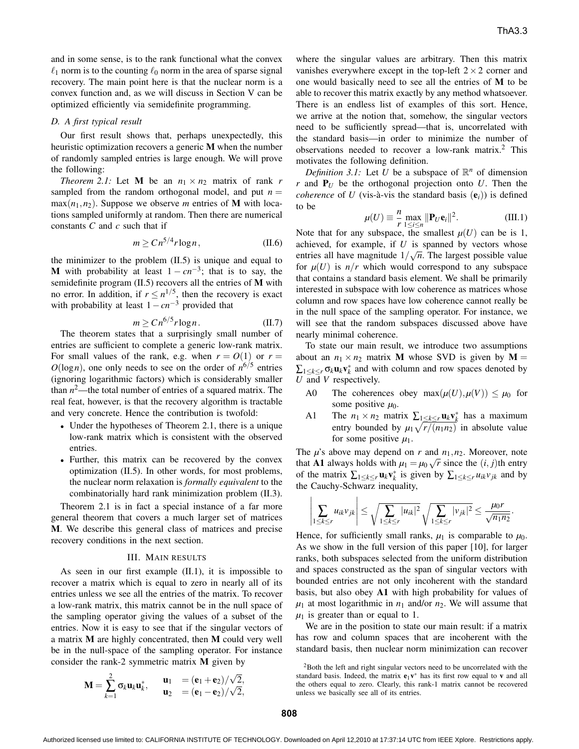and in some sense, is to the rank functional what the convex  $\ell_1$  norm is to the counting  $\ell_0$  norm in the area of sparse signal recovery. The main point here is that the nuclear norm is a convex function and, as we will discuss in Section V can be optimized efficiently via semidefinite programming.

## *D. A first typical result*

Our first result shows that, perhaps unexpectedly, this heuristic optimization recovers a generic M when the number of randomly sampled entries is large enough. We will prove the following:

*Theorem 2.1:* Let **M** be an  $n_1 \times n_2$  matrix of rank *r* sampled from the random orthogonal model, and put  $n =$  $max(n_1, n_2)$ . Suppose we observe *m* entries of **M** with locations sampled uniformly at random. Then there are numerical constants *C* and *c* such that if

$$
m \ge C n^{5/4} r \log n, \tag{II.6}
$$

the minimizer to the problem (II.5) is unique and equal to M with probability at least  $1 - cn^{-3}$ ; that is to say, the semidefinite program (II.5) recovers all the entries of M with no error. In addition, if  $r \leq n^{1/5}$ , then the recovery is exact with probability at least 1−*cn*−<sup>3</sup> provided that

$$
m \ge C n^{6/5} r \log n. \tag{II.7}
$$

The theorem states that a surprisingly small number of entries are sufficient to complete a generic low-rank matrix. For small values of the rank, e.g. when  $r = O(1)$  or  $r =$  $O(\log n)$ , one only needs to see on the order of  $n^{6/5}$  entries (ignoring logarithmic factors) which is considerably smaller than  $n^2$ —the total number of entries of a squared matrix. The real feat, however, is that the recovery algorithm is tractable and very concrete. Hence the contribution is twofold:

- Under the hypotheses of Theorem 2.1, there is a unique low-rank matrix which is consistent with the observed entries.
- Further, this matrix can be recovered by the convex optimization (II.5). In other words, for most problems, the nuclear norm relaxation is *formally equivalent* to the combinatorially hard rank minimization problem (II.3).

Theorem 2.1 is in fact a special instance of a far more general theorem that covers a much larger set of matrices M. We describe this general class of matrices and precise recovery conditions in the next section.

# III. MAIN RESULTS

As seen in our first example (II.1), it is impossible to recover a matrix which is equal to zero in nearly all of its entries unless we see all the entries of the matrix. To recover a low-rank matrix, this matrix cannot be in the null space of the sampling operator giving the values of a subset of the entries. Now it is easy to see that if the singular vectors of a matrix M are highly concentrated, then M could very well be in the null-space of the sampling operator. For instance consider the rank-2 symmetric matrix M given by

$$
\mathbf{M} = \sum_{k=1}^2 \sigma_k \mathbf{u}_k \mathbf{u}_k^*, \qquad \begin{array}{lcl} \mathbf{u}_1 &= (\mathbf{e}_1 + \mathbf{e}_2)/\sqrt{2}, \\ \mathbf{u}_2 &= (\mathbf{e}_1 - \mathbf{e}_2)/\sqrt{2}, \end{array}
$$

where the singular values are arbitrary. Then this matrix vanishes everywhere except in the top-left  $2 \times 2$  corner and one would basically need to see all the entries of M to be able to recover this matrix exactly by any method whatsoever. There is an endless list of examples of this sort. Hence, we arrive at the notion that, somehow, the singular vectors need to be sufficiently spread—that is, uncorrelated with the standard basis—in order to minimize the number of observations needed to recover a low-rank matrix.2 This motivates the following definition.

*Definition 3.1:* Let *U* be a subspace of  $\mathbb{R}^n$  of dimension  $r$  and  $P_U$  be the orthogonal projection onto *U*. Then the *coherence* of *U* (vis-à-vis the standard basis  $(e_i)$ ) is defined to be

$$
\mu(U) \equiv \frac{n}{r} \max_{1 \le i \le n} ||\mathbf{P}_U \mathbf{e}_i||^2.
$$
 (III.1)

Note that for any subspace, the smallest  $\mu(U)$  can be is 1, achieved, for example, if *U* is spanned by vectors whose entries all have magnitude  $1/\sqrt{n}$ . The largest possible value for  $\mu(U)$  is  $n/r$  which would correspond to any subspace that contains a standard basis element. We shall be primarily interested in subspace with low coherence as matrices whose column and row spaces have low coherence cannot really be in the null space of the sampling operator. For instance, we will see that the random subspaces discussed above have nearly minimal coherence.

To state our main result, we introduce two assumptions about an  $n_1 \times n_2$  matrix **M** whose SVD is given by **M** =  $\sum_{1 \leq k \leq r} \sigma_k \mathbf{u}_k \mathbf{v}_k^*$  and with column and row spaces denoted by *U* and *V* respectively.

- A0 The coherences obey  $max(\mu(U), \mu(V)) \leq \mu_0$  for some positive  $\mu_0$ .
- A1 The  $n_1 \times n_2$  matrix  $\sum_{1 \le k \le r} u_k v_k^*$  has a maximum entry bounded by  $\mu_1 \sqrt{r/(n_1 n_2)}$  in absolute value for some positive *μ*1.

The  $\mu$ 's above may depend on *r* and  $n_1, n_2$ . Moreover, note that **A1** always holds with  $\mu_1 = \mu_0 \sqrt{r}$  since the  $(i, j)$ th entry of the matrix  $\sum_{1 \leq k \leq r} u_k v_k^*$  is given by  $\sum_{1 \leq k \leq r} u_{ik} v_{jk}$  and by the Cauchy-Schwarz inequality,

$$
\left|\sum_{1 \leq k \leq r} u_{ik} v_{jk}\right| \leq \sqrt{\sum_{1 \leq k \leq r} |u_{ik}|^2} \sqrt{\sum_{1 \leq k \leq r} |v_{jk}|^2} \leq \frac{\mu_0 r}{\sqrt{n_1 n_2}}.
$$

Hence, for sufficiently small ranks,  $\mu_1$  is comparable to  $\mu_0$ . As we show in the full version of this paper [10], for larger ranks, both subspaces selected from the uniform distribution and spaces constructed as the span of singular vectors with bounded entries are not only incoherent with the standard basis, but also obey A1 with high probability for values of  $\mu_1$  at most logarithmic in  $n_1$  and/or  $n_2$ . We will assume that  $\mu_1$  is greater than or equal to 1.

We are in the position to state our main result: if a matrix has row and column spaces that are incoherent with the standard basis, then nuclear norm minimization can recover

<sup>2</sup>Both the left and right singular vectors need to be uncorrelated with the standard basis. Indeed, the matrix  $e_1v^*$  has its first row equal to v and all the others equal to zero. Clearly, this rank-1 matrix cannot be recovered unless we basically see all of its entries.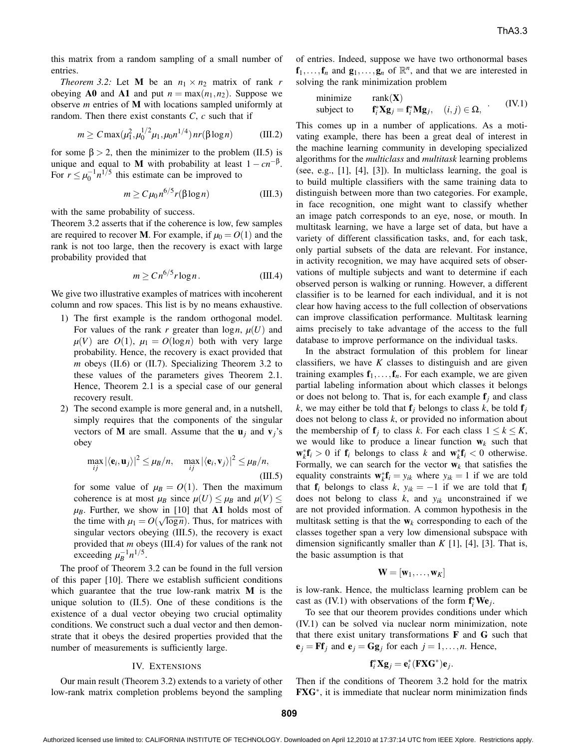this matrix from a random sampling of a small number of entries.

*Theorem 3.2:* Let **M** be an  $n_1 \times n_2$  matrix of rank *r* obeying **A0** and **A1** and put  $n = max(n_1, n_2)$ . Suppose we observe *m* entries of M with locations sampled uniformly at random. Then there exist constants *C*, *c* such that if

$$
m \geq C \max(\mu_1^2, \mu_0^{1/2} \mu_1, \mu_0 n^{1/4}) n r(\beta \log n)
$$
 (III.2)

for some  $\beta > 2$ , then the minimizer to the problem (II.5) is unique and equal to M with probability at least  $1 - cn^{-\beta}$ . For  $r \leq \mu_0^{-1} n^{1/5}$  this estimate can be improved to

$$
m \ge C \mu_0 n^{6/5} r(\beta \log n) \tag{III.3}
$$

with the same probability of success.

Theorem 3.2 asserts that if the coherence is low, few samples are required to recover **M**. For example, if  $\mu_0 = O(1)$  and the rank is not too large, then the recovery is exact with large probability provided that

$$
m \ge C n^{6/5} r \log n. \tag{III.4}
$$

We give two illustrative examples of matrices with incoherent column and row spaces. This list is by no means exhaustive.

- 1) The first example is the random orthogonal model. For values of the rank *r* greater than  $log n$ ,  $\mu(U)$  and  $\mu(V)$  are  $O(1)$ ,  $\mu_1 = O(\log n)$  both with very large probability. Hence, the recovery is exact provided that *m* obeys (II.6) or (II.7). Specializing Theorem 3.2 to these values of the parameters gives Theorem 2.1. Hence, Theorem 2.1 is a special case of our general recovery result.
- 2) The second example is more general and, in a nutshell, simply requires that the components of the singular vectors of **M** are small. Assume that the  $\mathbf{u}_i$  and  $\mathbf{v}_i$ 's obey

$$
\max_{ij} |\langle \mathbf{e}_i, \mathbf{u}_j \rangle|^2 \le \mu_B/n, \quad \max_{ij} |\langle \mathbf{e}_i, \mathbf{v}_j \rangle|^2 \le \mu_B/n,
$$
\n(III.5)

for some value of  $\mu_B = O(1)$ . Then the maximum coherence is at most  $\mu_B$  since  $\mu(U) \leq \mu_B$  and  $\mu(V) \leq$  $\mu$ <sub>B</sub>. Further, we show in [10] that **A1** holds most of the time with  $\mu_1 = O(\sqrt{\log n})$ . Thus, for matrices with singular vectors obeying (III.5), the recovery is exact provided that *m* obeys (III.4) for values of the rank not exceeding  $\mu_B^{-1} n^{1/5}$ .

The proof of Theorem 3.2 can be found in the full version of this paper [10]. There we establish sufficient conditions which guarantee that the true low-rank matrix M is the unique solution to (II.5). One of these conditions is the existence of a dual vector obeying two crucial optimality conditions. We construct such a dual vector and then demonstrate that it obeys the desired properties provided that the number of measurements is sufficiently large.

## IV. EXTENSIONS

Our main result (Theorem 3.2) extends to a variety of other low-rank matrix completion problems beyond the sampling of entries. Indeed, suppose we have two orthonormal bases  $f_1, \ldots, f_n$  and  $g_1, \ldots, g_n$  of  $\mathbb{R}^n$ , and that we are interested in solving the rank minimization problem

minimize 
$$
\text{rank}(\mathbf{X})
$$
  
subject to  $\mathbf{f}_i^* \mathbf{X} \mathbf{g}_j = \mathbf{f}_i^* \mathbf{M} \mathbf{g}_j, \quad (i, j) \in \Omega$ , (IV.1)

This comes up in a number of applications. As a motivating example, there has been a great deal of interest in the machine learning community in developing specialized algorithms for the *multiclass* and *multitask* learning problems (see, e.g., [1], [4], [3]). In multiclass learning, the goal is to build multiple classifiers with the same training data to distinguish between more than two categories. For example, in face recognition, one might want to classify whether an image patch corresponds to an eye, nose, or mouth. In multitask learning, we have a large set of data, but have a variety of different classification tasks, and, for each task, only partial subsets of the data are relevant. For instance, in activity recognition, we may have acquired sets of observations of multiple subjects and want to determine if each observed person is walking or running. However, a different classifier is to be learned for each individual, and it is not clear how having access to the full collection of observations can improve classification performance. Multitask learning aims precisely to take advantage of the access to the full database to improve performance on the individual tasks.

In the abstract formulation of this problem for linear classifiers, we have *K* classes to distinguish and are given training examples  $f_1, \ldots, f_n$ . For each example, we are given partial labeling information about which classes it belongs or does not belong to. That is, for each example  $f_i$  and class *k*, we may either be told that  $f_i$  belongs to class *k*, be told  $f_i$ does not belong to class *k*, or provided no information about the membership of  $f_j$  to class *k*. For each class  $1 \leq k \leq K$ , we would like to produce a linear function  $w_k$  such that  $\mathbf{w}_k^* \mathbf{f}_i > 0$  if  $\mathbf{f}_i$  belongs to class *k* and  $\mathbf{w}_k^* \mathbf{f}_i < 0$  otherwise. Formally, we can search for the vector  $w_k$  that satisfies the equality constraints  $\mathbf{w}_k^* \mathbf{f}_i = y_{ik}$  where  $y_{ik} = 1$  if we are told that  $f_i$  belongs to class  $k$ ,  $y_{ik} = -1$  if we are told that  $f_i$ does not belong to class *k*, and *yik* unconstrained if we are not provided information. A common hypothesis in the multitask setting is that the  $w_k$  corresponding to each of the classes together span a very low dimensional subspace with dimension significantly smaller than *K* [1], [4], [3]. That is, the basic assumption is that

$$
\mathbf{W} = [\mathbf{w}_1, \dots, \mathbf{w}_K]
$$

is low-rank. Hence, the multiclass learning problem can be cast as (IV.1) with observations of the form  $f_i^*We_j$ .

To see that our theorem provides conditions under which (IV.1) can be solved via nuclear norm minimization, note that there exist unitary transformations  $\bf{F}$  and  $\bf{G}$  such that  $e_j = \mathbf{F} \mathbf{f}_j$  and  $e_j = \mathbf{G} \mathbf{g}_j$  for each  $j = 1, \ldots, n$ . Hence,

$$
\mathbf{f}_i^* \mathbf{X} \mathbf{g}_j = \mathbf{e}_i^* (\mathbf{F} \mathbf{X} \mathbf{G}^*) \mathbf{e}_j.
$$

Then if the conditions of Theorem 3.2 hold for the matrix FXG∗, it is immediate that nuclear norm minimization finds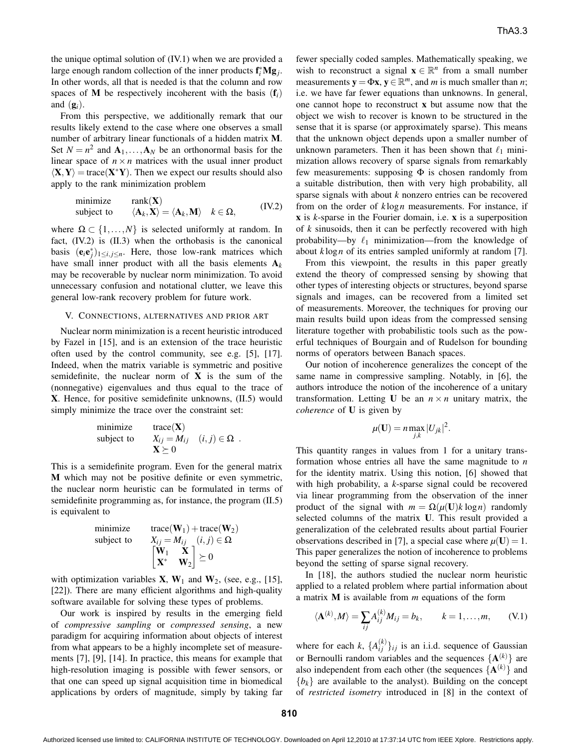the unique optimal solution of (IV.1) when we are provided a large enough random collection of the inner products f ∗ *<sup>i</sup>* Mg*j*. In other words, all that is needed is that the column and row spaces of **M** be respectively incoherent with the basis  $(f_i)$ and  $(\mathbf{g}_i)$ .

From this perspective, we additionally remark that our results likely extend to the case where one observes a small number of arbitrary linear functionals of a hidden matrix M. Set  $N = n^2$  and  $A_1, \ldots, A_N$  be an orthonormal basis for the linear space of  $n \times n$  matrices with the usual inner product  $\langle X, Y \rangle$  = trace( $X^*Y$ ). Then we expect our results should also apply to the rank minimization problem

minimize 
$$
\text{rank}(\mathbf{X})
$$
  
subject to  $\langle \mathbf{A}_k, \mathbf{X} \rangle = \langle \mathbf{A}_k, \mathbf{M} \rangle \quad k \in \Omega,$  (IV.2)

where  $\Omega \subset \{1, \ldots, N\}$  is selected uniformly at random. In fact, (IV.2) is (II.3) when the orthobasis is the canonical basis  $(e_i e_j^*)_{1 \le i,j \le n}$ . Here, those low-rank matrices which have small inner product with all the basis elements A*<sup>k</sup>* may be recoverable by nuclear norm minimization. To avoid unnecessary confusion and notational clutter, we leave this general low-rank recovery problem for future work.

## V. CONNECTIONS, ALTERNATIVES AND PRIOR ART

Nuclear norm minimization is a recent heuristic introduced by Fazel in [15], and is an extension of the trace heuristic often used by the control community, see e.g. [5], [17]. Indeed, when the matrix variable is symmetric and positive semidefinite, the nuclear norm of  $X$  is the sum of the (nonnegative) eigenvalues and thus equal to the trace of X. Hence, for positive semidefinite unknowns, (II.5) would simply minimize the trace over the constraint set:

minimize 
$$
\text{trace}(\mathbf{X})
$$
  
subject to  $X_{ij} = M_{ij} \quad (i, j) \in \Omega$ .  
 $\mathbf{X} \succeq 0$ 

This is a semidefinite program. Even for the general matrix M which may not be positive definite or even symmetric, the nuclear norm heuristic can be formulated in terms of semidefinite programming as, for instance, the program (II.5) is equivalent to

minimize 
$$
\text{trace}(\mathbf{W}_1) + \text{trace}(\mathbf{W}_2)
$$
  
subject to  $X_{ij} = M_{ij} \quad (i, j) \in \Omega$   

$$
\begin{bmatrix} \mathbf{W}_1 & \mathbf{X} \\ \mathbf{X}^* & \mathbf{W}_2 \end{bmatrix} \succeq 0
$$

with optimization variables  $X$ ,  $W_1$  and  $W_2$ , (see, e.g., [15], [22]). There are many efficient algorithms and high-quality software available for solving these types of problems.

Our work is inspired by results in the emerging field of *compressive sampling* or *compressed sensing*, a new paradigm for acquiring information about objects of interest from what appears to be a highly incomplete set of measurements [7], [9], [14]. In practice, this means for example that high-resolution imaging is possible with fewer sensors, or that one can speed up signal acquisition time in biomedical applications by orders of magnitude, simply by taking far

fewer specially coded samples. Mathematically speaking, we wish to reconstruct a signal  $\mathbf{x} \in \mathbb{R}^n$  from a small number measurements  $y = \Phi x$ ,  $y \in \mathbb{R}^m$ , and *m* is much smaller than *n*; i.e. we have far fewer equations than unknowns. In general, one cannot hope to reconstruct x but assume now that the object we wish to recover is known to be structured in the sense that it is sparse (or approximately sparse). This means that the unknown object depends upon a smaller number of unknown parameters. Then it has been shown that  $\ell_1$  minimization allows recovery of sparse signals from remarkably few measurements: supposing  $\Phi$  is chosen randomly from a suitable distribution, then with very high probability, all sparse signals with about *k* nonzero entries can be recovered from on the order of *k* log*n* measurements. For instance, if x is *k*-sparse in the Fourier domain, i.e. x is a superposition of *k* sinusoids, then it can be perfectly recovered with high probability—by  $\ell_1$  minimization—from the knowledge of about *k* log*n* of its entries sampled uniformly at random [7].

From this viewpoint, the results in this paper greatly extend the theory of compressed sensing by showing that other types of interesting objects or structures, beyond sparse signals and images, can be recovered from a limited set of measurements. Moreover, the techniques for proving our main results build upon ideas from the compressed sensing literature together with probabilistic tools such as the powerful techniques of Bourgain and of Rudelson for bounding norms of operators between Banach spaces.

Our notion of incoherence generalizes the concept of the same name in compressive sampling. Notably, in [6], the authors introduce the notion of the incoherence of a unitary transformation. Letting U be an  $n \times n$  unitary matrix, the *coherence* of U is given by

$$
\mu(\mathbf{U}) = n \max_{j,k} |U_{jk}|^2.
$$

This quantity ranges in values from 1 for a unitary transformation whose entries all have the same magnitude to *n* for the identity matrix. Using this notion, [6] showed that with high probability, a *k*-sparse signal could be recovered via linear programming from the observation of the inner product of the signal with  $m = \Omega(\mu(\mathbf{U})k \log n)$  randomly selected columns of the matrix U. This result provided a generalization of the celebrated results about partial Fourier observations described in [7], a special case where  $\mu(\mathbf{U}) = 1$ . This paper generalizes the notion of incoherence to problems beyond the setting of sparse signal recovery.

In [18], the authors studied the nuclear norm heuristic applied to a related problem where partial information about a matrix M is available from *m* equations of the form

$$
\langle \mathbf{A}^{(k)}, M \rangle = \sum_{ij} A_{ij}^{(k)} M_{ij} = b_k, \qquad k = 1, \dots, m,
$$
 (V.1)

where for each *k*,  $\{A_{ij}^{(k)}\}_{ij}$  is an i.i.d. sequence of Gaussian or Bernoulli random variables and the sequences  ${A^{(k)} \choose A^{(k)}}$  are also independent from each other (the sequences  $\{A^{(k)}\}$  and  ${b_k}$  are available to the analyst). Building on the concept of *restricted isometry* introduced in [8] in the context of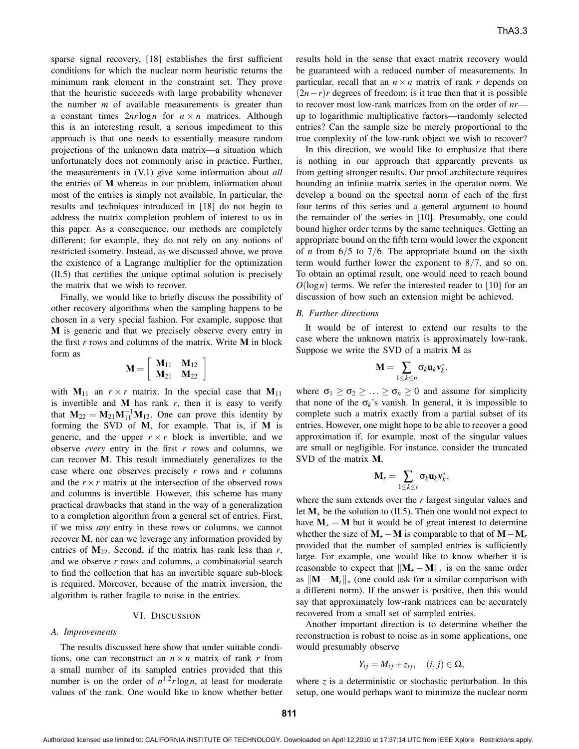sparse signal recovery, [18] establishes the first sufficient conditions for which the nuclear norm heuristic returns the minimum rank element in the constraint set. They prove that the heuristic succeeds with large probability whenever the number *m* of available measurements is greater than a constant times  $2nr \log n$  for  $n \times n$  matrices. Although this is an interesting result, a serious impediment to this approach is that one needs to essentially measure random projections of the unknown data matrix—a situation which unfortunately does not commonly arise in practice. Further, the measurements in (V.1) give some information about *all* the entries of M whereas in our problem, information about most of the entries is simply not available. In particular, the results and techniques introduced in [18] do not begin to address the matrix completion problem of interest to us in this paper. As a consequence, our methods are completely different; for example, they do not rely on any notions of restricted isometry. Instead, as we discussed above, we prove the existence of a Lagrange multiplier for the optimization (II.5) that certifies the unique optimal solution is precisely the matrix that we wish to recover.

Finally, we would like to briefly discuss the possibility of other recovery algorithms when the sampling happens to be chosen in a very special fashion. For example, suppose that M is generic and that we precisely observe every entry in the first *r* rows and columns of the matrix. Write M in block form as

$$
\mathbf{M} = \left[ \begin{array}{cc} \mathbf{M}_{11} & \mathbf{M}_{12} \\ \mathbf{M}_{21} & \mathbf{M}_{22} \end{array} \right]
$$

with  $M_{11}$  an  $r \times r$  matrix. In the special case that  $M_{11}$ is invertible and  $M$  has rank  $r$ , then it is easy to verify that  $M_{22} = M_{21}M_{11}^{-1}M_{12}$ . One can prove this identity by forming the SVD of M, for example. That is, if M is generic, and the upper  $r \times r$  block is invertible, and we observe *every* entry in the first *r* rows and columns, we can recover M. This result immediately generalizes to the case where one observes precisely *r* rows and *r* columns and the  $r \times r$  matrix at the intersection of the observed rows and columns is invertible. However, this scheme has many practical drawbacks that stand in the way of a generalization to a completion algorithm from a general set of entries. First, if we miss *any* entry in these rows or columns, we cannot recover M, nor can we leverage any information provided by entries of  $M_{22}$ . Second, if the matrix has rank less than  $r$ , and we observe *r* rows and columns, a combinatorial search to find the collection that has an invertible square sub-block is required. Moreover, because of the matrix inversion, the algorithm is rather fragile to noise in the entries.

#### VI. DISCUSSION

#### *A. Improvements*

The results discussed here show that under suitable conditions, one can reconstruct an  $n \times n$  matrix of rank *r* from a small number of its sampled entries provided that this number is on the order of  $n^{1.2}r \log n$ , at least for moderate values of the rank. One would like to know whether better results hold in the sense that exact matrix recovery would be guaranteed with a reduced number of measurements. In particular, recall that an  $n \times n$  matrix of rank *r* depends on  $(2n-r)r$  degrees of freedom; is it true then that it is possible to recover most low-rank matrices from on the order of *nr* up to logarithmic multiplicative factors—randomly selected entries? Can the sample size be merely proportional to the true complexity of the low-rank object we wish to recover?

In this direction, we would like to emphasize that there is nothing in our approach that apparently prevents us from getting stronger results. Our proof architecture requires bounding an infinite matrix series in the operator norm. We develop a bound on the spectral norm of each of the first four terms of this series and a general argument to bound the remainder of the series in [10]. Presumably, one could bound higher order terms by the same techniques. Getting an appropriate bound on the fifth term would lower the exponent of *n* from 6/5 to 7/6. The appropriate bound on the sixth term would further lower the exponent to 8/7, and so on. To obtain an optimal result, one would need to reach bound  $O(log n)$  terms. We refer the interested reader to [10] for an discussion of how such an extension might be achieved.

## *B. Further directions*

It would be of interest to extend our results to the case where the unknown matrix is approximately low-rank. Suppose we write the SVD of a matrix M as

$$
\mathbf{M}=\sum_{1\leq k\leq n}\sigma_k\mathbf{u}_k\mathbf{v}_k^*,
$$

where  $\sigma_1 \geq \sigma_2 \geq \ldots \geq \sigma_n \geq 0$  and assume for simplicity that none of the  $\sigma_k$ 's vanish. In general, it is impossible to complete such a matrix exactly from a partial subset of its entries. However, one might hope to be able to recover a good approximation if, for example, most of the singular values are small or negligible. For instance, consider the truncated SVD of the matrix M,

$$
\mathbf{M}_r = \sum_{1\leq k\leq r} \sigma_k \mathbf{u}_k \mathbf{v}_k^*,
$$

where the sum extends over the *r* largest singular values and let  $M_{+}$  be the solution to (II.5). Then one would not expect to have  $M_{\star} = M$  but it would be of great interest to determine whether the size of  $M_{\star}$  − M is comparable to that of  $M - M_r$ provided that the number of sampled entries is sufficiently large. For example, one would like to know whether it is reasonable to expect that  $||\mathbf{M}_{\star} - \mathbf{M}||_{*}$  is on the same order as  $||\mathbf{M}-\mathbf{M}_r||_*$  (one could ask for a similar comparison with a different norm). If the answer is positive, then this would say that approximately low-rank matrices can be accurately recovered from a small set of sampled entries.

Another important direction is to determine whether the reconstruction is robust to noise as in some applications, one would presumably observe

$$
Y_{ij}=M_{ij}+z_{ij},\quad (i,j)\in\Omega,
$$

where *z* is a deterministic or stochastic perturbation. In this setup, one would perhaps want to minimize the nuclear norm